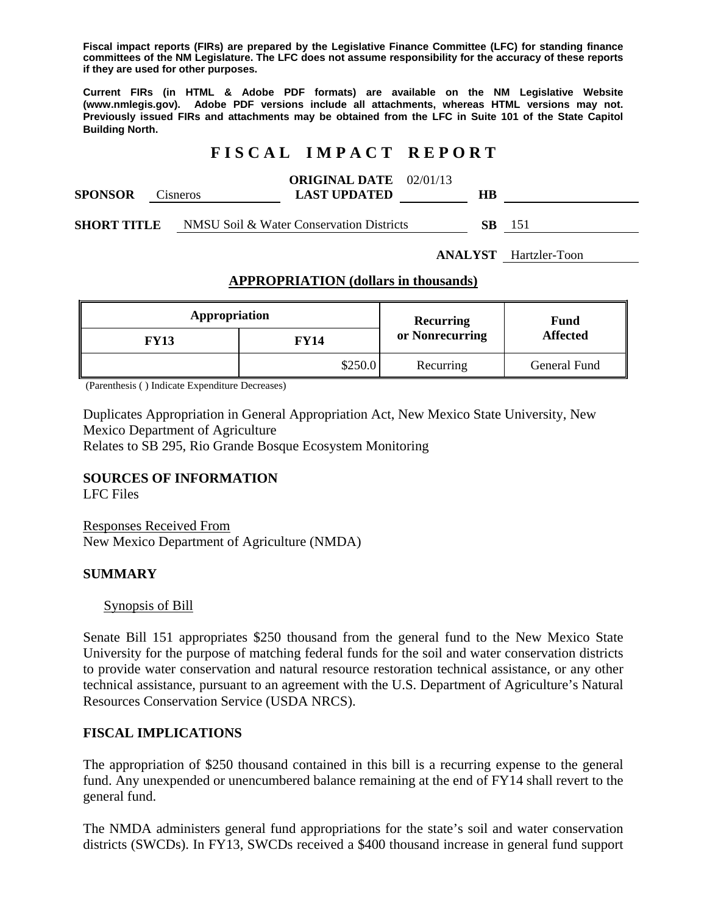**Fiscal impact reports (FIRs) are prepared by the Legislative Finance Committee (LFC) for standing finance committees of the NM Legislature. The LFC does not assume responsibility for the accuracy of these reports if they are used for other purposes.** 

**Current FIRs (in HTML & Adobe PDF formats) are available on the NM Legislative Website (www.nmlegis.gov). Adobe PDF versions include all attachments, whereas HTML versions may not. Previously issued FIRs and attachments may be obtained from the LFC in Suite 101 of the State Capitol Building North.**

# **F I S C A L I M P A C T R E P O R T**

| <b>SPONSOR</b>     | Cisneros |  | <b>ORIGINAL DATE</b> 02/01/13<br><b>LAST UPDATED</b> | HВ |     |
|--------------------|----------|--|------------------------------------------------------|----|-----|
| <b>SHORT TITLE</b> |          |  | NMSU Soil & Water Conservation Districts             | SВ | 151 |

**ANALYST** Hartzler-Toon

#### **APPROPRIATION (dollars in thousands)**

| Appropriation |             | Recurring       | Fund<br><b>Affected</b> |  |
|---------------|-------------|-----------------|-------------------------|--|
| <b>FY13</b>   | <b>FY14</b> | or Nonrecurring |                         |  |
|               | \$250.0     | Recurring       | General Fund            |  |

(Parenthesis ( ) Indicate Expenditure Decreases)

Duplicates Appropriation in General Appropriation Act, New Mexico State University, New Mexico Department of Agriculture

Relates to SB 295, Rio Grande Bosque Ecosystem Monitoring

### **SOURCES OF INFORMATION**

LFC Files

Responses Received From New Mexico Department of Agriculture (NMDA)

#### **SUMMARY**

Synopsis of Bill

Senate Bill 151 appropriates \$250 thousand from the general fund to the New Mexico State University for the purpose of matching federal funds for the soil and water conservation districts to provide water conservation and natural resource restoration technical assistance, or any other technical assistance, pursuant to an agreement with the U.S. Department of Agriculture's Natural Resources Conservation Service (USDA NRCS).

### **FISCAL IMPLICATIONS**

The appropriation of \$250 thousand contained in this bill is a recurring expense to the general fund. Any unexpended or unencumbered balance remaining at the end of FY14 shall revert to the general fund.

The NMDA administers general fund appropriations for the state's soil and water conservation districts (SWCDs). In FY13, SWCDs received a \$400 thousand increase in general fund support